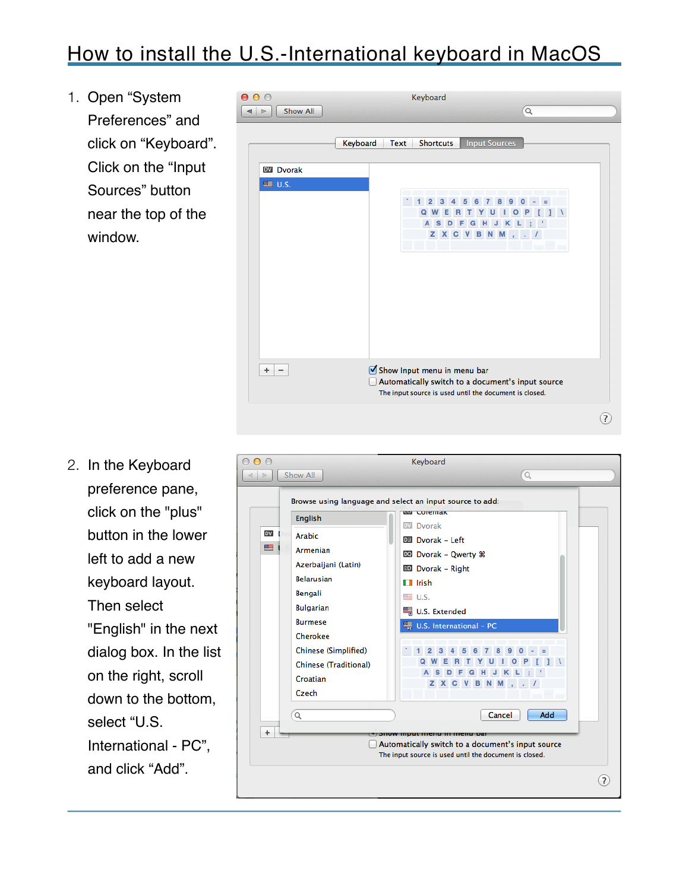## How to install the U.S.-International keyboard in MacOS

1. Open "System Preferences" and click on "Keyboard". Click on the "Input Sources" button near the top of the window.



2. In the Keyboard preference pane, click on the "plus" button in the lower left to add a new keyboard layout. Then select "English" in the next dialog box. In the list on the right, scroll down to the bottom, select "U.S. International - PC", and click "Add".

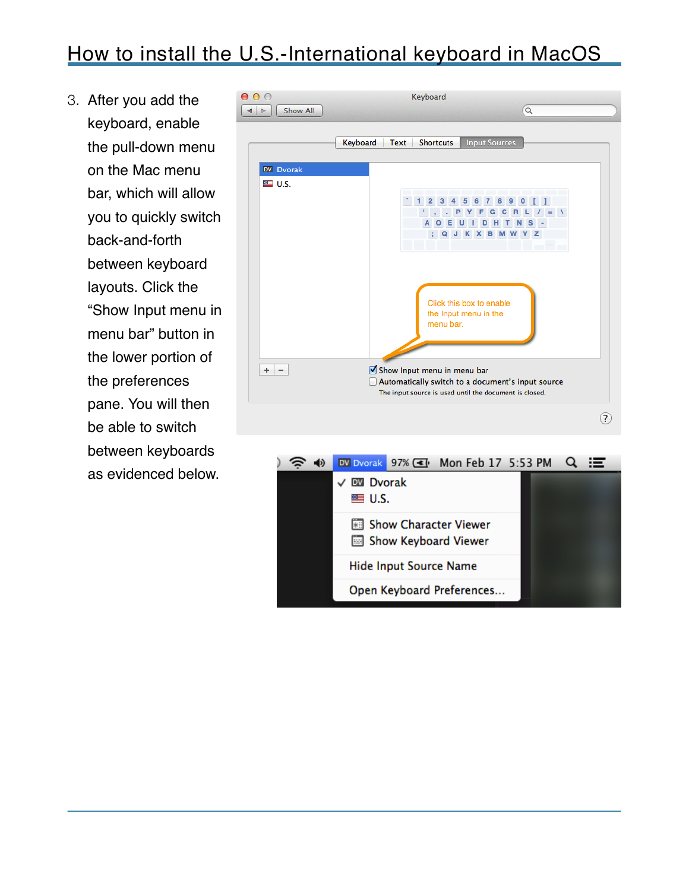## How to install the U.S.-International keyboard in MacOS

3. After you add the keyboard, enable the pull-down menu on the Mac menu bar, which will allow you to quickly switch back-and-forth between keyboard layouts. Click the "Show Input menu in menu bar" button in the lower portion of the preferences pane. You will then be able to switch between keyboards as evidenced below.